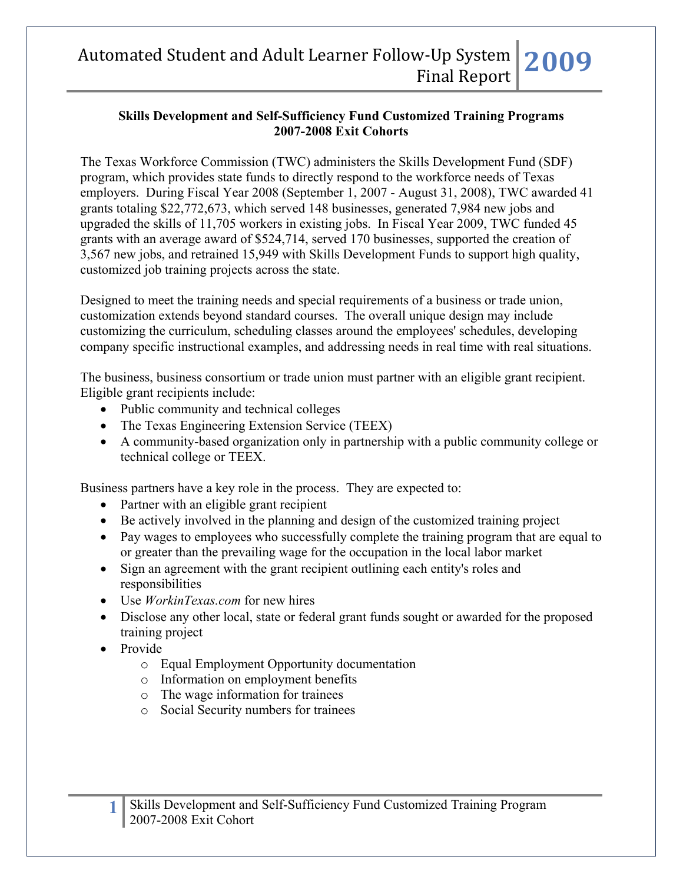#### **Skills Development and Self-Sufficiency Fund Customized Training Programs 2007-2008 Exit Cohorts**

The Texas Workforce Commission (TWC) administers the Skills Development Fund (SDF) program, which provides state funds to directly respond to the workforce needs of Texas employers. During Fiscal Year 2008 (September 1, 2007 - August 31, 2008), TWC awarded 41 grants totaling \$22,772,673, which served 148 businesses, generated 7,984 new jobs and upgraded the skills of 11,705 workers in existing jobs. In Fiscal Year 2009, TWC funded 45 grants with an average award of \$524,714, served 170 businesses, supported the creation of 3,567 new jobs, and retrained 15,949 with Skills Development Funds to support high quality, customized job training projects across the state.

Designed to meet the training needs and special requirements of a business or trade union, customization extends beyond standard courses. The overall unique design may include customizing the curriculum, scheduling classes around the employees' schedules, developing company specific instructional examples, and addressing needs in real time with real situations.

The business, business consortium or trade union must partner with an eligible grant recipient. Eligible grant recipients include:

- Public community and technical colleges
- The Texas Engineering Extension Service (TEEX)
- A community-based organization only in partnership with a public community college or technical college or TEEX.

Business partners have a key role in the process. They are expected to:

- Partner with an eligible grant recipient
- Be actively involved in the planning and design of the customized training project
- Pay wages to employees who successfully complete the training program that are equal to or greater than the prevailing wage for the occupation in the local labor market
- Sign an agreement with the grant recipient outlining each entity's roles and responsibilities
- Use *WorkinTexas.com* for new hires
- Disclose any other local, state or federal grant funds sought or awarded for the proposed training project
- Provide
	- o Equal Employment Opportunity documentation
	- o Information on employment benefits
	- o The wage information for trainees
	- o Social Security numbers for trainees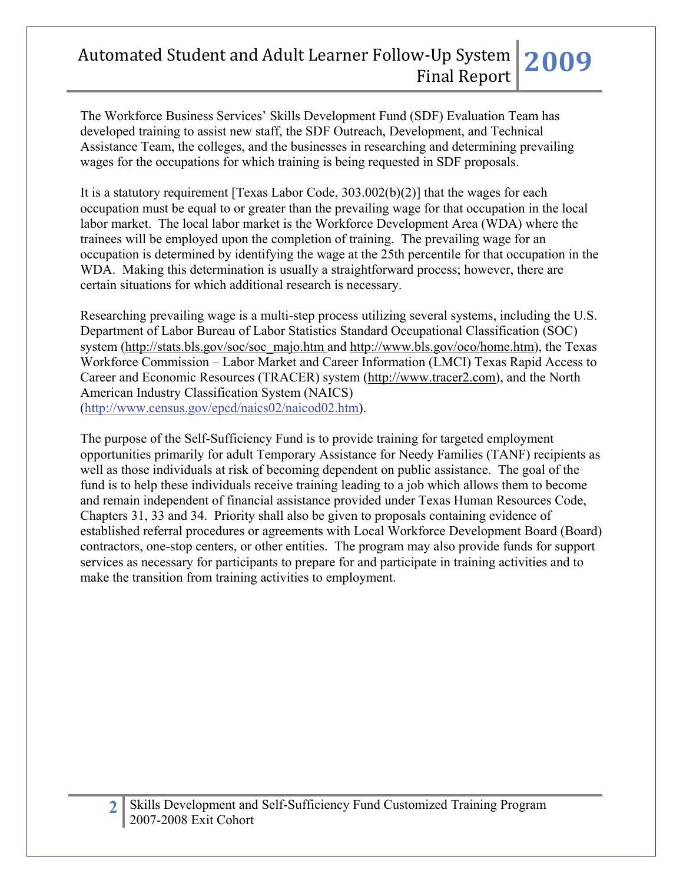The Workforce Business Services' Skills Development Fund (SDF) Evaluation Team has developed training to assist new staff, the SDF Outreach, Development, and Technical Assistance Team, the colleges, and the businesses in researching and determining prevailing wages for the occupations for which training is being requested in SDF proposals.

It is a statutory requirement [Texas Labor Code, 303.002(b)(2)] that the wages for each occupation must be equal to or greater than the prevailing wage for that occupation in the local labor market. The local labor market is the Workforce Development Area (WDA) where the trainees will be employed upon the completion of training. The prevailing wage for an occupation is determined by identifying the wage at the 25th percentile for that occupation in the WDA. Making this determination is usually a straightforward process; however, there are certain situations for which additional research is necessary.

Researching prevailing wage is a multi-step process utilizing several systems, including the U.S. Department of Labor Bureau of Labor Statistics Standard Occupational Classification (SOC) system (http://stats.bls.gov/soc/soc\_majo.htm and http://www.bls.gov/oco/home.htm), the Texas Workforce Commission – Labor Market and Career Information (LMCI) Texas Rapid Access to Career and Economic Resources (TRACER) system (http://www.tracer2.com), and the North American Industry Classification System (NAICS) ([http://www.census.gov/epcd/naics02/naicod02.htm\)](http://www.census.gov/epcd/naics02/naicod02.htm).

The purpose of the Self-Sufficiency Fund is to provide training for targeted employment opportunities primarily for adult Temporary Assistance for Needy Families (TANF) recipients as well as those individuals at risk of becoming dependent on public assistance. The goal of the fund is to help these individuals receive training leading to a job which allows them to become and remain independent of financial assistance provided under Texas Human Resources Code, Chapters 31, 33 and 34. Priority shall also be given to proposals containing evidence of established referral procedures or agreements with Local Workforce Development Board (Board) contractors, one-stop centers, or other entities. The program may also provide funds for support services as necessary for participants to prepare for and participate in training activities and to make the transition from training activities to employment.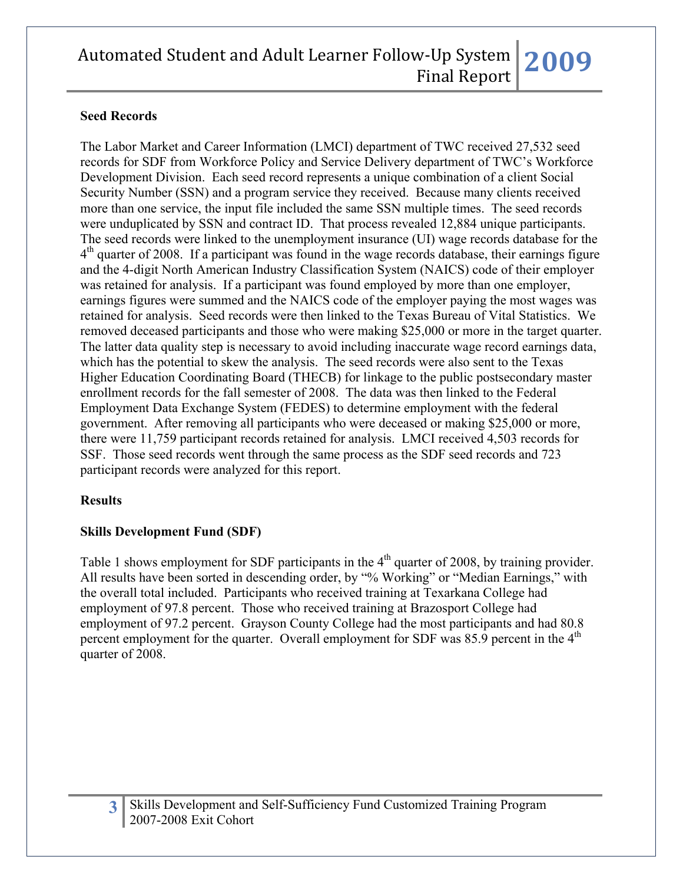### **Seed Records**

The Labor Market and Career Information (LMCI) department of TWC received 27,532 seed records for SDF from Workforce Policy and Service Delivery department of TWC's Workforce Development Division. Each seed record represents a unique combination of a client Social Security Number (SSN) and a program service they received. Because many clients received more than one service, the input file included the same SSN multiple times. The seed records were unduplicated by SSN and contract ID. That process revealed 12,884 unique participants. The seed records were linked to the unemployment insurance (UI) wage records database for the  $4<sup>th</sup>$  quarter of 2008. If a participant was found in the wage records database, their earnings figure and the 4-digit North American Industry Classification System (NAICS) code of their employer was retained for analysis. If a participant was found employed by more than one employer, earnings figures were summed and the NAICS code of the employer paying the most wages was retained for analysis. Seed records were then linked to the Texas Bureau of Vital Statistics. We removed deceased participants and those who were making \$25,000 or more in the target quarter. The latter data quality step is necessary to avoid including inaccurate wage record earnings data, which has the potential to skew the analysis. The seed records were also sent to the Texas Higher Education Coordinating Board (THECB) for linkage to the public postsecondary master enrollment records for the fall semester of 2008. The data was then linked to the Federal Employment Data Exchange System (FEDES) to determine employment with the federal government. After removing all participants who were deceased or making \$25,000 or more, there were 11,759 participant records retained for analysis. LMCI received 4,503 records for SSF. Those seed records went through the same process as the SDF seed records and 723 participant records were analyzed for this report.

#### **Results**

### **Skills Development Fund (SDF)**

Table 1 shows employment for SDF participants in the  $4<sup>th</sup>$  quarter of 2008, by training provider. All results have been sorted in descending order, by "% Working" or "Median Earnings," with the overall total included. Participants who received training at Texarkana College had employment of 97.8 percent. Those who received training at Brazosport College had employment of 97.2 percent. Grayson County College had the most participants and had 80.8 percent employment for the quarter. Overall employment for SDF was  $85.9$  percent in the  $4<sup>th</sup>$ quarter of 2008.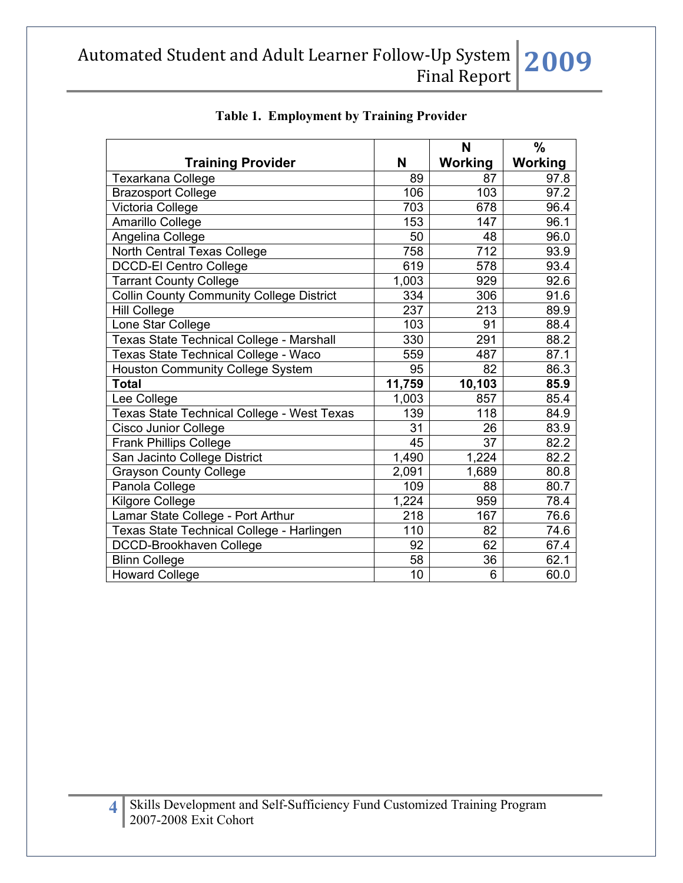|                                                 |                 | N              | $\frac{0}{0}$  |
|-------------------------------------------------|-----------------|----------------|----------------|
| <b>Training Provider</b>                        | N               | <b>Working</b> | <b>Working</b> |
| <b>Texarkana College</b>                        | 89              | 87             | 97.8           |
| <b>Brazosport College</b>                       | 106             | 103            | 97.2           |
| Victoria College                                | 703             | 678            | 96.4           |
| Amarillo College                                | 153             | 147            | 96.1           |
| Angelina College                                | 50              | 48             | 96.0           |
| North Central Texas College                     | 758             | 712            | 93.9           |
| <b>DCCD-El Centro College</b>                   | 619             | 578            | 93.4           |
| <b>Tarrant County College</b>                   | 1,003           | 929            | 92.6           |
| <b>Collin County Community College District</b> | 334             | 306            | 91.6           |
| <b>Hill College</b>                             | 237             | 213            | 89.9           |
| Lone Star College                               | 103             | 91             | 88.4           |
| <b>Texas State Technical College - Marshall</b> | 330             | 291            | 88.2           |
| Texas State Technical College - Waco            | 559             | 487            | 87.1           |
| <b>Houston Community College System</b>         | 95              | 82             | 86.3           |
| <b>Total</b>                                    | 11,759          | 10,103         | 85.9           |
| Lee College                                     | 1,003           | 857            | 85.4           |
| Texas State Technical College - West Texas      | 139             | 118            | 84.9           |
| <b>Cisco Junior College</b>                     | 31              | 26             | 83.9           |
| <b>Frank Phillips College</b>                   | 45              | 37             | 82.2           |
| San Jacinto College District                    | 1,490           | 1,224          | 82.2           |
| <b>Grayson County College</b>                   | 2,091           | 1,689          | 80.8           |
| Panola College                                  | 109             | 88             | 80.7           |
| <b>Kilgore College</b>                          | 1,224           | 959            | 78.4           |
| Lamar State College - Port Arthur               | 218             | 167            | 76.6           |
| Texas State Technical College - Harlingen       | 110             | 82             | 74.6           |
| DCCD-Brookhaven College                         | 92              | 62             | 67.4           |
| <b>Blinn College</b>                            | $\overline{58}$ | 36             | 62.1           |
| <b>Howard College</b>                           | 10              | 6              | 60.0           |

## **Table 1. Employment by Training Provider**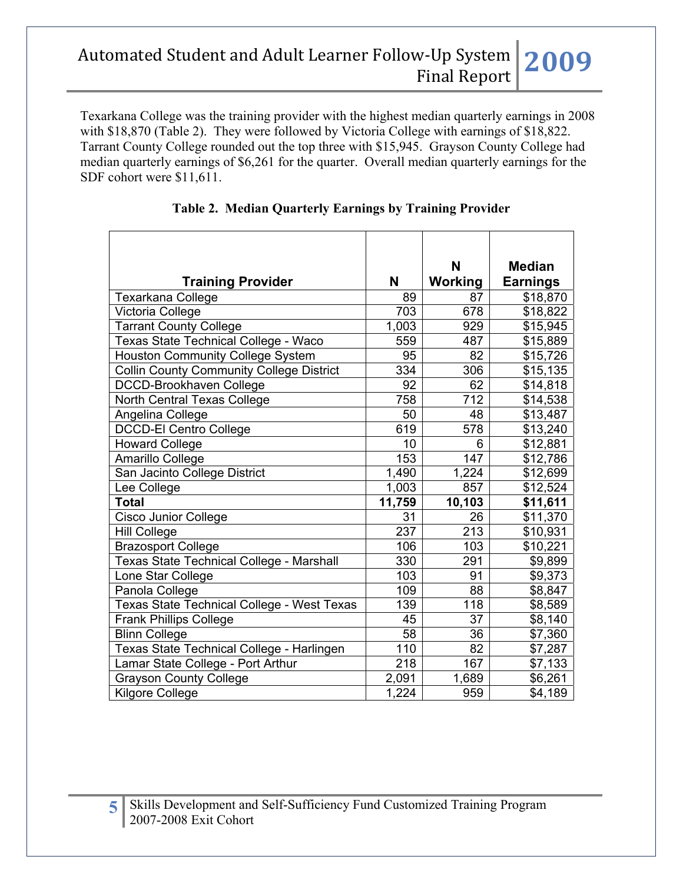Texarkana College was the training provider with the highest median quarterly earnings in 2008 with \$18,870 (Table 2). They were followed by Victoria College with earnings of \$18,822. Tarrant County College rounded out the top three with \$15,945. Grayson County College had median quarterly earnings of \$6,261 for the quarter. Overall median quarterly earnings for the SDF cohort were \$11,611.

|                                                 |                  | N              | <b>Median</b>   |
|-------------------------------------------------|------------------|----------------|-----------------|
| <b>Training Provider</b>                        | N                | <b>Working</b> | <b>Earnings</b> |
| <b>Texarkana College</b>                        | 89               | 87             | \$18,870        |
| Victoria College                                | 703              | 678            | \$18,822        |
| <b>Tarrant County College</b>                   | 1,003            | 929            | \$15,945        |
| Texas State Technical College - Waco            | 559              | 487            | \$15,889        |
| <b>Houston Community College System</b>         | 95               | 82             | \$15,726        |
| <b>Collin County Community College District</b> | 334              | 306            | \$15,135        |
| DCCD-Brookhaven College                         | 92               | 62             | \$14,818        |
| North Central Texas College                     | 758              | 712            | \$14,538        |
| Angelina College                                | 50               | 48             | \$13,487        |
| <b>DCCD-El Centro College</b>                   | 619              | 578            | \$13,240        |
| <b>Howard College</b>                           | 10               | 6              | \$12,881        |
| Amarillo College                                | 153              | 147            | \$12,786        |
| San Jacinto College District                    | 1,490            | 1,224          | \$12,699        |
| Lee College                                     | 1,003            | 857            | \$12,524        |
| <b>Total</b>                                    | 11,759           | 10,103         | \$11,611        |
| <b>Cisco Junior College</b>                     | 31               | 26             | \$11,370        |
| <b>Hill College</b>                             | $\overline{237}$ | 213            | \$10,931        |
| <b>Brazosport College</b>                       | 106              | 103            | \$10,221        |
| <b>Texas State Technical College - Marshall</b> | 330              | 291            | \$9,899         |
| Lone Star College                               | 103              | 91             | \$9,373         |
| Panola College                                  | 109              | 88             | \$8,847         |
| Texas State Technical College - West Texas      | 139              | 118            | \$8,589         |
| <b>Frank Phillips College</b>                   | 45               | 37             | \$8,140         |
| <b>Blinn College</b>                            | 58               | 36             | \$7,360         |
| Texas State Technical College - Harlingen       | 110              | 82             | \$7,287         |
| Lamar State College - Port Arthur               | 218              | 167            | \$7,133         |
| <b>Grayson County College</b>                   | 2,091            | 1,689          | \$6,261         |
| <b>Kilgore College</b>                          | 1,224            | 959            | \$4,189         |

## **Table 2. Median Quarterly Earnings by Training Provider**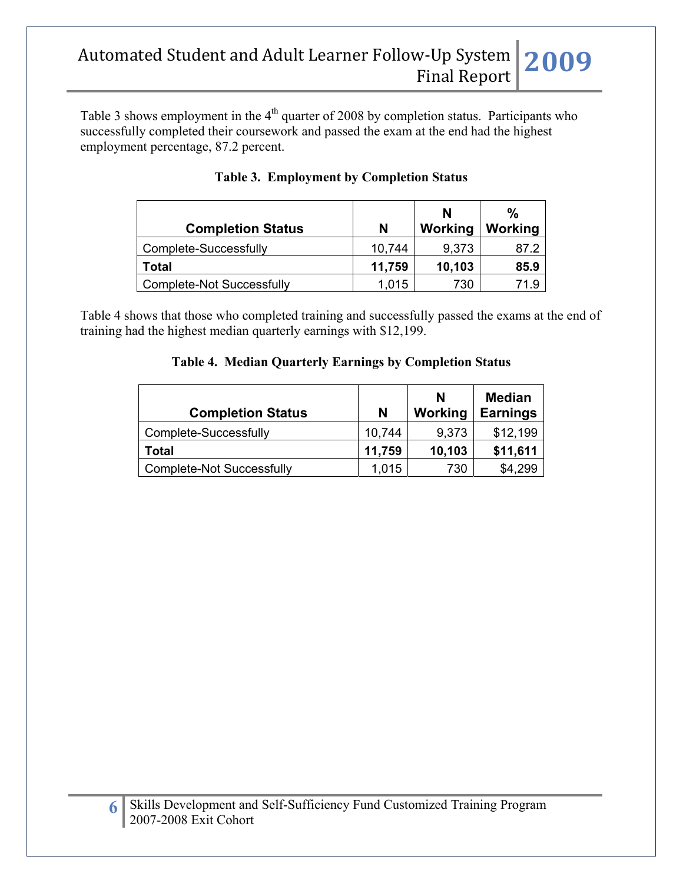Table 3 shows employment in the  $4<sup>th</sup>$  quarter of 2008 by completion status. Participants who successfully completed their coursework and passed the exam at the end had the highest employment percentage, 87.2 percent.

| <b>Completion Status</b>         | N      | N<br>Working | $\frac{0}{0}$<br>Working |
|----------------------------------|--------|--------------|--------------------------|
| Complete-Successfully            | 10.744 | 9,373        | 87.2                     |
| Total                            | 11,759 | 10,103       | 85.9                     |
| <b>Complete-Not Successfully</b> | 1,015  | 730          | 71.9                     |

Table 4 shows that those who completed training and successfully passed the exams at the end of training had the highest median quarterly earnings with \$12,199.

## **Table 4. Median Quarterly Earnings by Completion Status**

| <b>Completion Status</b>         | N      | N<br>Working | <b>Median</b><br><b>Earnings</b> |
|----------------------------------|--------|--------------|----------------------------------|
| Complete-Successfully            | 10,744 | 9,373        | \$12,199                         |
| Total                            | 11,759 | 10,103       | \$11,611                         |
| <b>Complete-Not Successfully</b> | 1,015  | 730          | \$4,299                          |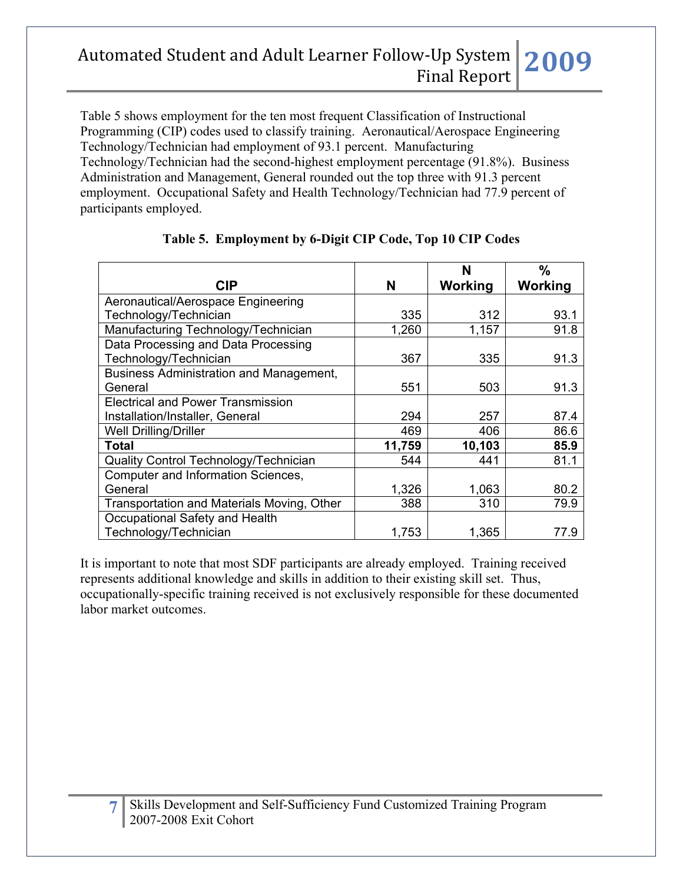Table 5 shows employment for the ten most frequent Classification of Instructional Programming (CIP) codes used to classify training. Aeronautical/Aerospace Engineering Technology/Technician had employment of 93.1 percent. Manufacturing Technology/Technician had the second-highest employment percentage (91.8%). Business Administration and Management, General rounded out the top three with 91.3 percent employment. Occupational Safety and Health Technology/Technician had 77.9 percent of participants employed.

|                                            |        | N       | $\frac{0}{0}$ |
|--------------------------------------------|--------|---------|---------------|
| <b>CIP</b>                                 | N      | Working | Working       |
| Aeronautical/Aerospace Engineering         |        |         |               |
| Technology/Technician                      | 335    | 312     | 93.1          |
| Manufacturing Technology/Technician        | 1,260  | 1,157   | 91.8          |
| Data Processing and Data Processing        |        |         |               |
| Technology/Technician                      | 367    | 335     | 91.3          |
| Business Administration and Management,    |        |         |               |
| General                                    | 551    | 503     | 91.3          |
| <b>Electrical and Power Transmission</b>   |        |         |               |
| Installation/Installer, General            | 294    | 257     | 87.4          |
| <b>Well Drilling/Driller</b>               | 469    | 406     | 86.6          |
| <b>Total</b>                               | 11,759 | 10,103  | 85.9          |
| Quality Control Technology/Technician      | 544    | 441     | 81.1          |
| Computer and Information Sciences,         |        |         |               |
| General                                    | 1,326  | 1,063   | 80.2          |
| Transportation and Materials Moving, Other | 388    | 310     | 79.9          |
| Occupational Safety and Health             |        |         |               |
| Technology/Technician                      | 1,753  | 1,365   | 77.9          |

## **Table 5. Employment by 6-Digit CIP Code, Top 10 CIP Codes**

It is important to note that most SDF participants are already employed. Training received represents additional knowledge and skills in addition to their existing skill set. Thus, occupationally-specific training received is not exclusively responsible for these documented labor market outcomes.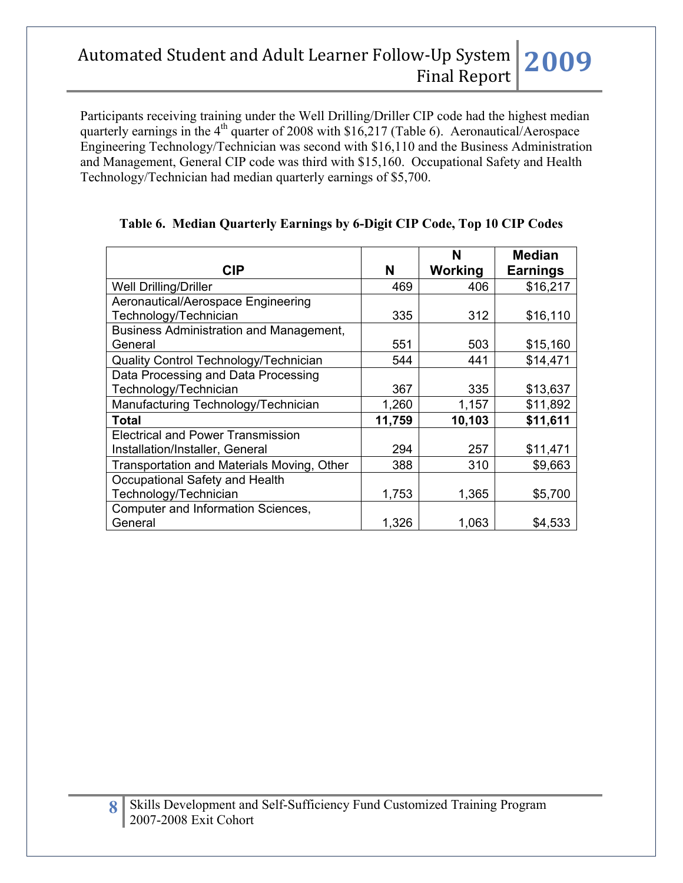Participants receiving training under the Well Drilling/Driller CIP code had the highest median quarterly earnings in the  $4<sup>th</sup>$  quarter of 2008 with \$16,217 (Table 6). Aeronautical/Aerospace Engineering Technology/Technician was second with \$16,110 and the Business Administration and Management, General CIP code was third with \$15,160. Occupational Safety and Health Technology/Technician had median quarterly earnings of \$5,700.

|                                                |        | N       | <b>Median</b>   |
|------------------------------------------------|--------|---------|-----------------|
| <b>CIP</b>                                     | N      | Working | <b>Earnings</b> |
| <b>Well Drilling/Driller</b>                   | 469    | 406     | \$16,217        |
| Aeronautical/Aerospace Engineering             |        |         |                 |
| Technology/Technician                          | 335    | 312     | \$16,110        |
| <b>Business Administration and Management,</b> |        |         |                 |
| General                                        | 551    | 503     | \$15,160        |
| Quality Control Technology/Technician          | 544    | 441     | \$14,471        |
| Data Processing and Data Processing            |        |         |                 |
| Technology/Technician                          | 367    | 335     | \$13,637        |
| Manufacturing Technology/Technician            | 1,260  | 1,157   | \$11,892        |
| Total                                          | 11,759 | 10,103  | \$11,611        |
| <b>Electrical and Power Transmission</b>       |        |         |                 |
| Installation/Installer, General                | 294    | 257     | \$11,471        |
| Transportation and Materials Moving, Other     | 388    | 310     | \$9,663         |
| Occupational Safety and Health                 |        |         |                 |
| Technology/Technician                          | 1,753  | 1,365   | \$5,700         |
| Computer and Information Sciences,             |        |         |                 |
| General                                        | 1,326  | 1,063   | \$4,533         |

### **Table 6. Median Quarterly Earnings by 6-Digit CIP Code, Top 10 CIP Codes**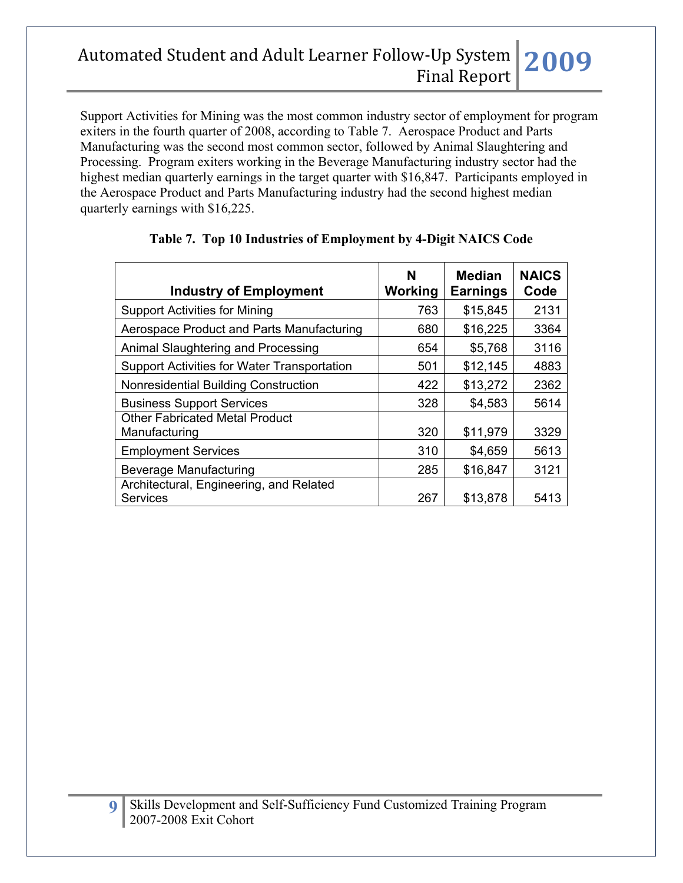Support Activities for Mining was the most common industry sector of employment for program exiters in the fourth quarter of 2008, according to Table 7. Aerospace Product and Parts Manufacturing was the second most common sector, followed by Animal Slaughtering and Processing. Program exiters working in the Beverage Manufacturing industry sector had the highest median quarterly earnings in the target quarter with \$16,847. Participants employed in the Aerospace Product and Parts Manufacturing industry had the second highest median quarterly earnings with \$16,225.

| <b>Industry of Employment</b>                              | N<br>Working | <b>Median</b><br><b>Earnings</b> | <b>NAICS</b><br>Code |
|------------------------------------------------------------|--------------|----------------------------------|----------------------|
| <b>Support Activities for Mining</b>                       | 763          | \$15,845                         | 2131                 |
| Aerospace Product and Parts Manufacturing                  | 680          | \$16,225                         | 3364                 |
| Animal Slaughtering and Processing                         | 654          | \$5,768                          | 3116                 |
| <b>Support Activities for Water Transportation</b>         | 501          | \$12,145                         | 4883                 |
| Nonresidential Building Construction                       | 422          | \$13,272                         | 2362                 |
| <b>Business Support Services</b>                           | 328          | \$4,583                          | 5614                 |
| <b>Other Fabricated Metal Product</b><br>Manufacturing     | 320          | \$11,979                         | 3329                 |
| <b>Employment Services</b>                                 | 310          | \$4,659                          | 5613                 |
| Beverage Manufacturing                                     | 285          | \$16,847                         | 3121                 |
| Architectural, Engineering, and Related<br><b>Services</b> | 267          | \$13,878                         | 5413                 |

### **Table 7. Top 10 Industries of Employment by 4-Digit NAICS Code**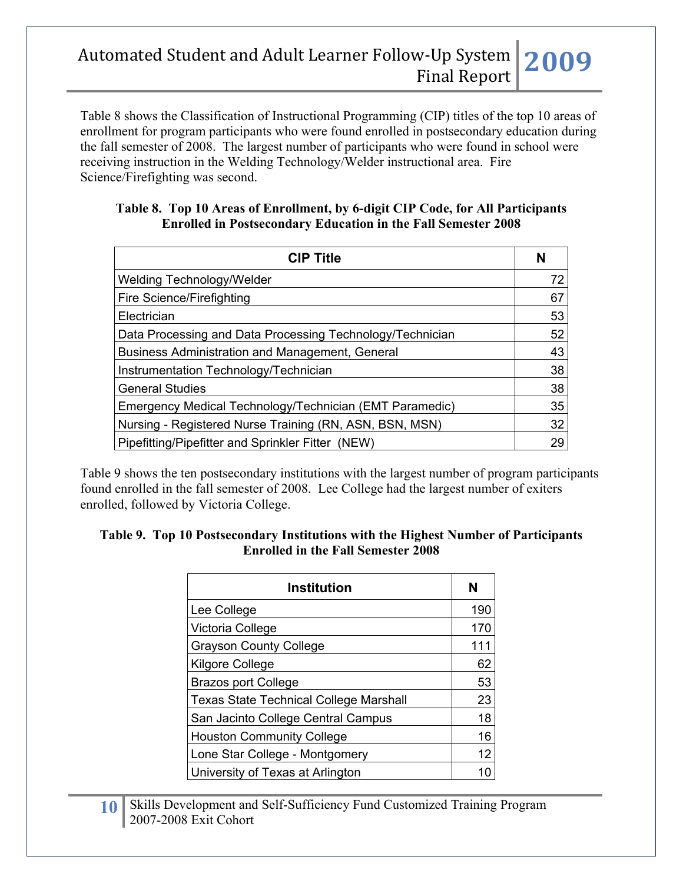Table 8 shows the Classification of Instructional Programming (CIP) titles of the top 10 areas of enrollment for program participants who were found enrolled in postsecondary education during the fall semester of 2008. The largest number of participants who were found in school were receiving instruction in the Welding Technology/Welder instructional area. Fire Science/Firefighting was second.

#### **Table 8. Top 10 Areas of Enrollment, by 6-digit CIP Code, for All Participants Enrolled in Postsecondary Education in the Fall Semester 2008**

| <b>CIP Title</b>                                          | N  |
|-----------------------------------------------------------|----|
| Welding Technology/Welder                                 | 72 |
| Fire Science/Firefighting                                 | 67 |
| Electrician                                               | 53 |
| Data Processing and Data Processing Technology/Technician | 52 |
| Business Administration and Management, General           | 43 |
| Instrumentation Technology/Technician                     | 38 |
| <b>General Studies</b>                                    | 38 |
| Emergency Medical Technology/Technician (EMT Paramedic)   | 35 |
| Nursing - Registered Nurse Training (RN, ASN, BSN, MSN)   | 32 |
| Pipefitting/Pipefitter and Sprinkler Fitter (NEW)         | 29 |

Table 9 shows the ten postsecondary institutions with the largest number of program participants found enrolled in the fall semester of 2008. Lee College had the largest number of exiters enrolled, followed by Victoria College.

#### **Table 9. Top 10 Postsecondary Institutions with the Highest Number of Participants Enrolled in the Fall Semester 2008**

| <b>Institution</b>                            | N   |
|-----------------------------------------------|-----|
| Lee College                                   | 190 |
| Victoria College                              | 170 |
| <b>Grayson County College</b>                 | 111 |
| <b>Kilgore College</b>                        | 62  |
| <b>Brazos port College</b>                    | 53  |
| <b>Texas State Technical College Marshall</b> | 23  |
| San Jacinto College Central Campus            | 18  |
| <b>Houston Community College</b>              | 16  |
| Lone Star College - Montgomery                | 12  |
| University of Texas at Arlington              | 10  |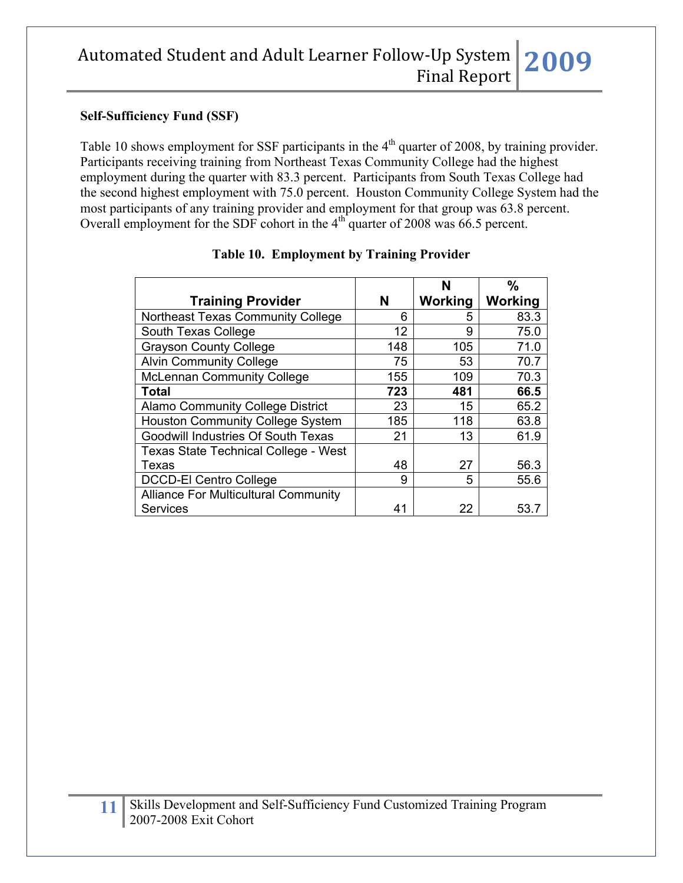#### **Self-Sufficiency Fund (SSF)**

Table 10 shows employment for SSF participants in the 4<sup>th</sup> quarter of 2008, by training provider. Participants receiving training from Northeast Texas Community College had the highest employment during the quarter with 83.3 percent. Participants from South Texas College had the second highest employment with 75.0 percent. Houston Community College System had the most participants of any training provider and employment for that group was 63.8 percent. Overall employment for the SDF cohort in the  $4<sup>th</sup>$  quarter of 2008 was 66.5 percent.

|                                             |     | N       | $\frac{0}{0}$  |
|---------------------------------------------|-----|---------|----------------|
| <b>Training Provider</b>                    | N   | Working | <b>Working</b> |
| Northeast Texas Community College           | 6   | 5       | 83.3           |
| South Texas College                         | 12  | 9       | 75.0           |
| <b>Grayson County College</b>               | 148 | 105     | 71.0           |
| <b>Alvin Community College</b>              | 75  | 53      | 70.7           |
| <b>McLennan Community College</b>           | 155 | 109     | 70.3           |
| <b>Total</b>                                | 723 | 481     | 66.5           |
| <b>Alamo Community College District</b>     | 23  | 15      | 65.2           |
| <b>Houston Community College System</b>     | 185 | 118     | 63.8           |
| Goodwill Industries Of South Texas          | 21  | 13      | 61.9           |
| <b>Texas State Technical College - West</b> |     |         |                |
| Texas                                       | 48  | 27      | 56.3           |
| <b>DCCD-El Centro College</b>               | 9   | 5       | 55.6           |
| <b>Alliance For Multicultural Community</b> |     |         |                |
| <b>Services</b>                             | 41  | 22      | 53.7           |

### **Table 10. Employment by Training Provider**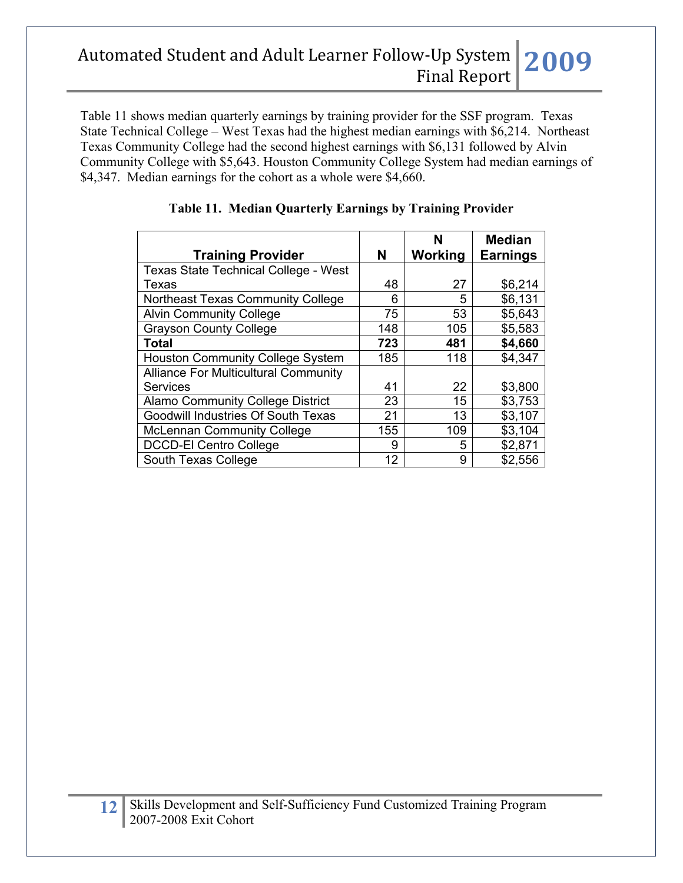Table 11 shows median quarterly earnings by training provider for the SSF program. Texas State Technical College – West Texas had the highest median earnings with \$6,214. Northeast Texas Community College had the second highest earnings with \$6,131 followed by Alvin Community College with \$5,643. Houston Community College System had median earnings of \$4,347. Median earnings for the cohort as a whole were \$4,660.

|                                             |     | N       | <b>Median</b>   |
|---------------------------------------------|-----|---------|-----------------|
| <b>Training Provider</b>                    | N   | Working | <b>Earnings</b> |
| <b>Texas State Technical College - West</b> |     |         |                 |
| Texas                                       | 48  | 27      | \$6,214         |
| Northeast Texas Community College           | 6   | 5       | \$6,131         |
| <b>Alvin Community College</b>              | 75  | 53      | \$5,643         |
| <b>Grayson County College</b>               | 148 | 105     | \$5,583         |
| Total                                       | 723 | 481     | \$4,660         |
| <b>Houston Community College System</b>     | 185 | 118     | \$4,347         |
| <b>Alliance For Multicultural Community</b> |     |         |                 |
| <b>Services</b>                             | 41  | 22      | \$3,800         |
| <b>Alamo Community College District</b>     | 23  | 15      | \$3,753         |
| Goodwill Industries Of South Texas          | 21  | 13      | \$3,107         |
| <b>McLennan Community College</b>           | 155 | 109     | \$3,104         |
| <b>DCCD-El Centro College</b>               | 9   | 5       | \$2,871         |
| South Texas College                         | 12  | 9       | \$2,556         |

### **Table 11. Median Quarterly Earnings by Training Provider**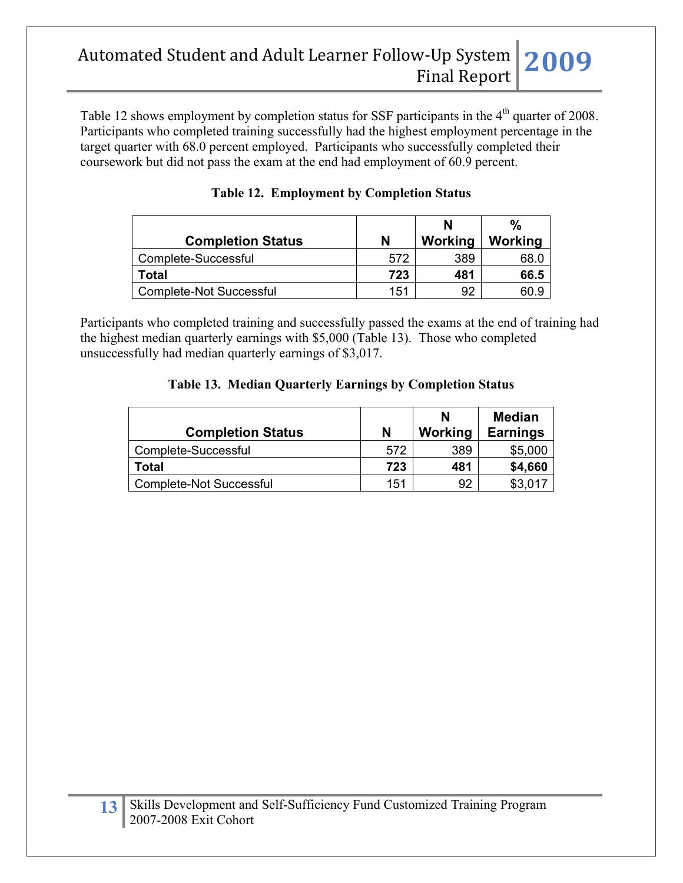Table 12 shows employment by completion status for SSF participants in the 4<sup>th</sup> quarter of 2008. Participants who completed training successfully had the highest employment percentage in the target quarter with 68.0 percent employed. Participants who successfully completed their coursework but did not pass the exam at the end had employment of 60.9 percent.

|                          |     | N       | $\%$    |
|--------------------------|-----|---------|---------|
| <b>Completion Status</b> | N   | Working | Working |
| Complete-Successful      | 572 | 389     | 68.0    |
| Total                    | 723 | 481     | 66.5    |
| Complete-Not Successful  | 151 | 92      | 60 s    |

|  |  |  | <b>Table 12. Employment by Completion Status</b> |
|--|--|--|--------------------------------------------------|
|--|--|--|--------------------------------------------------|

Participants who completed training and successfully passed the exams at the end of training had the highest median quarterly earnings with \$5,000 (Table 13). Those who completed unsuccessfully had median quarterly earnings of \$3,017.

#### **Table 13. Median Quarterly Earnings by Completion Status**

| <b>Completion Status</b> | N   | N<br>Working | <b>Median</b><br><b>Earnings</b> |
|--------------------------|-----|--------------|----------------------------------|
| Complete-Successful      | 572 | 389          | \$5,000                          |
| Total                    | 723 | 481          | \$4,660                          |
| Complete-Not Successful  | 151 | 92           | \$3,017                          |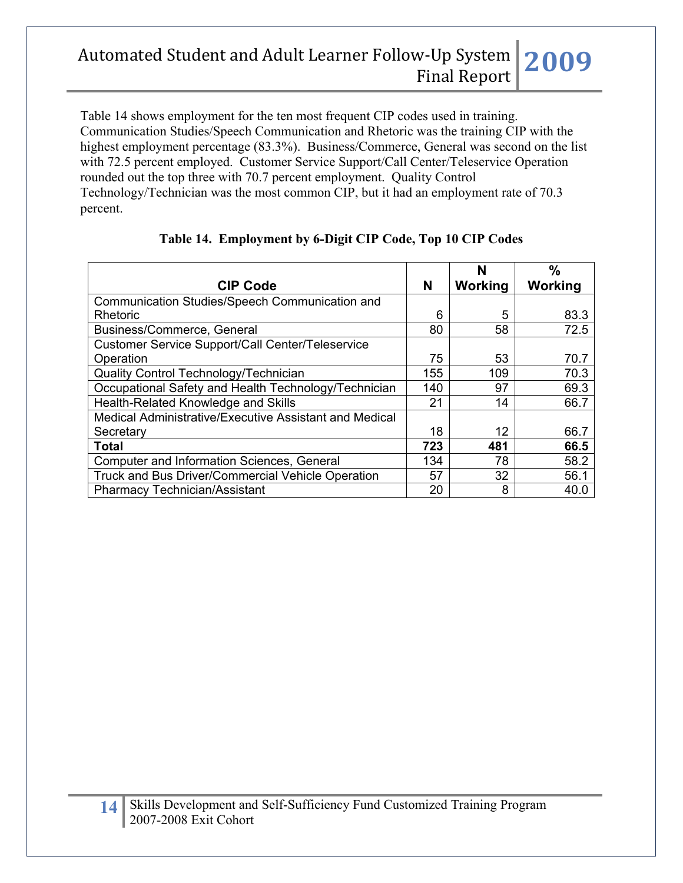Table 14 shows employment for the ten most frequent CIP codes used in training. Communication Studies/Speech Communication and Rhetoric was the training CIP with the highest employment percentage (83.3%). Business/Commerce, General was second on the list with 72.5 percent employed. Customer Service Support/Call Center/Teleservice Operation rounded out the top three with 70.7 percent employment. Quality Control Technology/Technician was the most common CIP, but it had an employment rate of 70.3 percent.

|                                                        |     | N       | $\frac{0}{0}$ |
|--------------------------------------------------------|-----|---------|---------------|
| <b>CIP Code</b>                                        | N   | Working | Working       |
| Communication Studies/Speech Communication and         |     |         |               |
| Rhetoric                                               | 6   | 5       | 83.3          |
| Business/Commerce, General                             | 80  | 58      | 72.5          |
| Customer Service Support/Call Center/Teleservice       |     |         |               |
| Operation                                              | 75  | 53      | 70.7          |
| Quality Control Technology/Technician                  | 155 | 109     | 70.3          |
| Occupational Safety and Health Technology/Technician   | 140 | 97      | 69.3          |
| Health-Related Knowledge and Skills                    | 21  | 14      | 66.7          |
| Medical Administrative/Executive Assistant and Medical |     |         |               |
| Secretary                                              | 18  | 12      | 66.7          |
| <b>Total</b>                                           | 723 | 481     | 66.5          |
| <b>Computer and Information Sciences, General</b>      | 134 | 78      | 58.2          |
| Truck and Bus Driver/Commercial Vehicle Operation      | 57  | 32      | 56.1          |
| <b>Pharmacy Technician/Assistant</b>                   | 20  | 8       | 40.0          |

### **Table 14. Employment by 6-Digit CIP Code, Top 10 CIP Codes**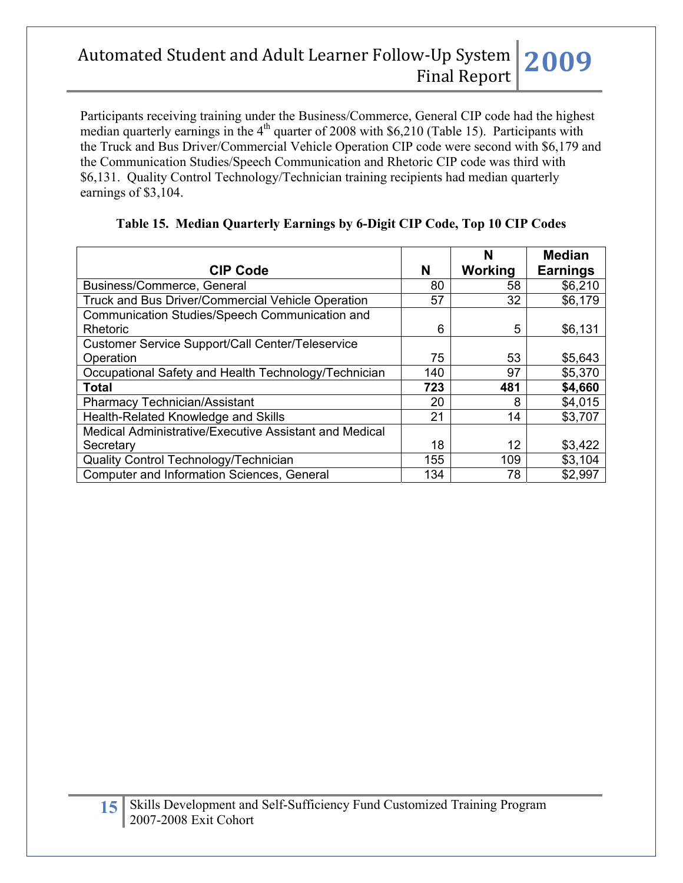Participants receiving training under the Business/Commerce, General CIP code had the highest median quarterly earnings in the  $4<sup>th</sup>$  quarter of 2008 with \$6,210 (Table 15). Participants with the Truck and Bus Driver/Commercial Vehicle Operation CIP code were second with \$6,179 and the Communication Studies/Speech Communication and Rhetoric CIP code was third with \$6,131. Quality Control Technology/Technician training recipients had median quarterly earnings of \$3,104.

| <b>CIP Code</b>                                         | N   | N<br>Working | <b>Median</b><br><b>Earnings</b> |
|---------------------------------------------------------|-----|--------------|----------------------------------|
| Business/Commerce, General                              | 80  | 58           | \$6,210                          |
| Truck and Bus Driver/Commercial Vehicle Operation       | 57  | 32           | \$6,179                          |
| Communication Studies/Speech Communication and          |     |              |                                  |
| Rhetoric                                                | 6   | 5            | \$6,131                          |
| <b>Customer Service Support/Call Center/Teleservice</b> |     |              |                                  |
| Operation                                               | 75  | 53           | \$5,643                          |
| Occupational Safety and Health Technology/Technician    | 140 | 97           | \$5,370                          |
| Total                                                   | 723 | 481          | \$4,660                          |
| <b>Pharmacy Technician/Assistant</b>                    | 20  | 8            | \$4,015                          |
| Health-Related Knowledge and Skills                     | 21  | 14           | \$3,707                          |
| Medical Administrative/Executive Assistant and Medical  |     |              |                                  |
| Secretary                                               | 18  | 12           | \$3,422                          |
| Quality Control Technology/Technician                   | 155 | 109          | \$3,104                          |
| <b>Computer and Information Sciences, General</b>       | 134 | 78           | \$2,997                          |

### **Table 15. Median Quarterly Earnings by 6-Digit CIP Code, Top 10 CIP Codes**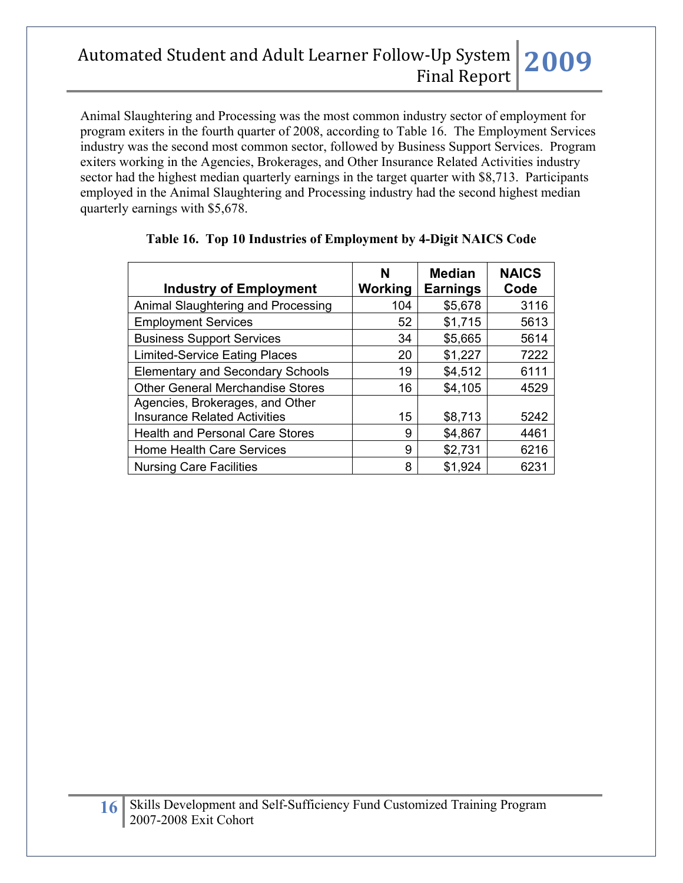Animal Slaughtering and Processing was the most common industry sector of employment for program exiters in the fourth quarter of 2008, according to Table 16. The Employment Services industry was the second most common sector, followed by Business Support Services. Program exiters working in the Agencies, Brokerages, and Other Insurance Related Activities industry sector had the highest median quarterly earnings in the target quarter with \$8,713. Participants employed in the Animal Slaughtering and Processing industry had the second highest median quarterly earnings with \$5,678.

| <b>Industry of Employment</b>           | N<br>Working | <b>Median</b><br><b>Earnings</b> | <b>NAICS</b><br>Code |
|-----------------------------------------|--------------|----------------------------------|----------------------|
| Animal Slaughtering and Processing      | 104          | \$5,678                          | 3116                 |
| <b>Employment Services</b>              | 52           | \$1,715                          | 5613                 |
| <b>Business Support Services</b>        | 34           | \$5,665                          | 5614                 |
| <b>Limited-Service Eating Places</b>    | 20           | \$1,227                          | 7222                 |
| <b>Elementary and Secondary Schools</b> | 19           | \$4,512                          | 6111                 |
| <b>Other General Merchandise Stores</b> | 16           | \$4,105                          | 4529                 |
| Agencies, Brokerages, and Other         |              |                                  |                      |
| <b>Insurance Related Activities</b>     | 15           | \$8,713                          | 5242                 |
| <b>Health and Personal Care Stores</b>  | 9            | \$4,867                          | 4461                 |
| <b>Home Health Care Services</b>        | 9            | \$2,731                          | 6216                 |
| <b>Nursing Care Facilities</b>          | 8            | \$1,924                          | 6231                 |

### **Table 16. Top 10 Industries of Employment by 4-Digit NAICS Code**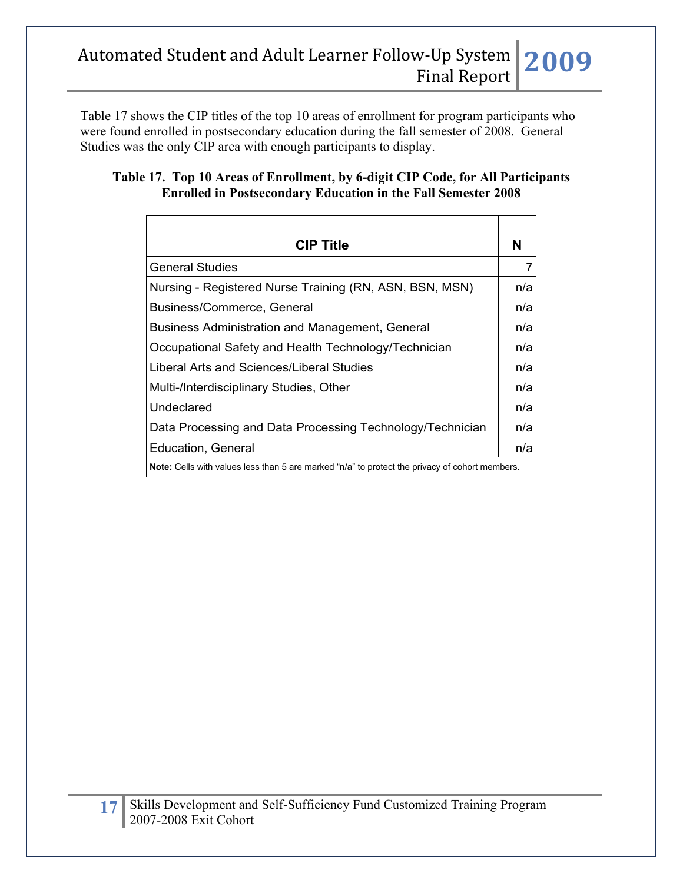Table 17 shows the CIP titles of the top 10 areas of enrollment for program participants who were found enrolled in postsecondary education during the fall semester of 2008. General Studies was the only CIP area with enough participants to display.

### **Table 17. Top 10 Areas of Enrollment, by 6-digit CIP Code, for All Participants Enrolled in Postsecondary Education in the Fall Semester 2008**

| <b>CIP Title</b>                                                                                      | N   |
|-------------------------------------------------------------------------------------------------------|-----|
| <b>General Studies</b>                                                                                | 7   |
| Nursing - Registered Nurse Training (RN, ASN, BSN, MSN)                                               | n/a |
| Business/Commerce, General                                                                            | n/a |
| Business Administration and Management, General                                                       | n/a |
| Occupational Safety and Health Technology/Technician                                                  | n/a |
| Liberal Arts and Sciences/Liberal Studies                                                             | n/a |
| Multi-/Interdisciplinary Studies, Other                                                               | n/a |
| Undeclared                                                                                            | n/a |
| Data Processing and Data Processing Technology/Technician                                             | n/a |
| <b>Education, General</b>                                                                             | n/a |
| <b>Note:</b> Cells with values less than 5 are marked "n/a" to protect the privacy of cohort members. |     |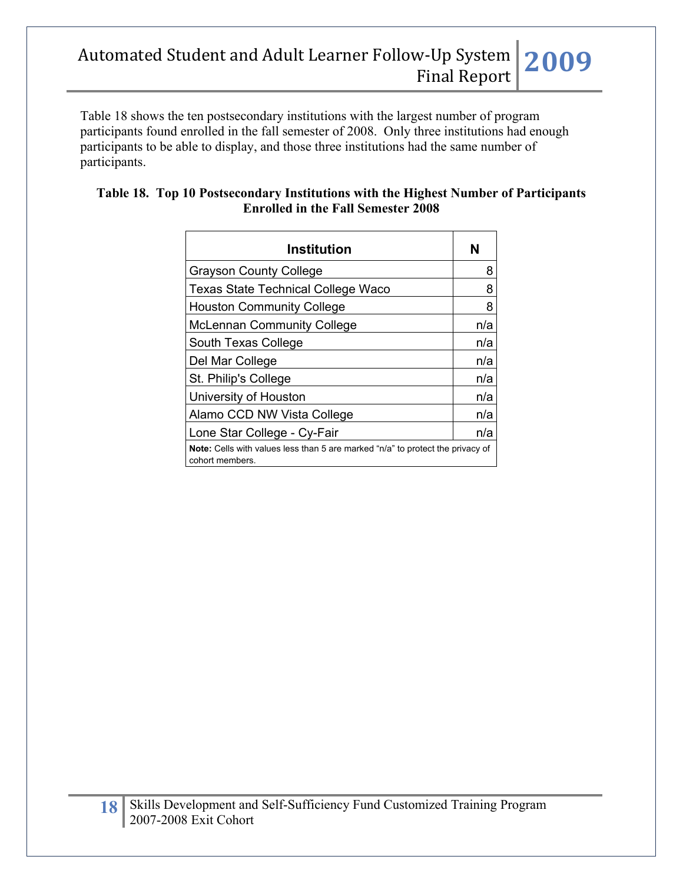Table 18 shows the ten postsecondary institutions with the largest number of program participants found enrolled in the fall semester of 2008. Only three institutions had enough participants to be able to display, and those three institutions had the same number of participants.

| Table 18. Top 10 Postsecondary Institutions with the Highest Number of Participants |  |
|-------------------------------------------------------------------------------------|--|
| <b>Enrolled in the Fall Semester 2008</b>                                           |  |

| <b>Institution</b>                                                                                       | N   |
|----------------------------------------------------------------------------------------------------------|-----|
| <b>Grayson County College</b>                                                                            | 8   |
| <b>Texas State Technical College Waco</b>                                                                | 8   |
| <b>Houston Community College</b>                                                                         | 8   |
| <b>McLennan Community College</b>                                                                        | n/a |
| South Texas College                                                                                      | n/a |
| Del Mar College                                                                                          | n/a |
| St. Philip's College                                                                                     | n/a |
| University of Houston                                                                                    | n/a |
| Alamo CCD NW Vista College                                                                               | n/a |
| Lone Star College - Cy-Fair                                                                              | n/a |
| <b>Note:</b> Cells with values less than 5 are marked "n/a" to protect the privacy of<br>cohort members. |     |